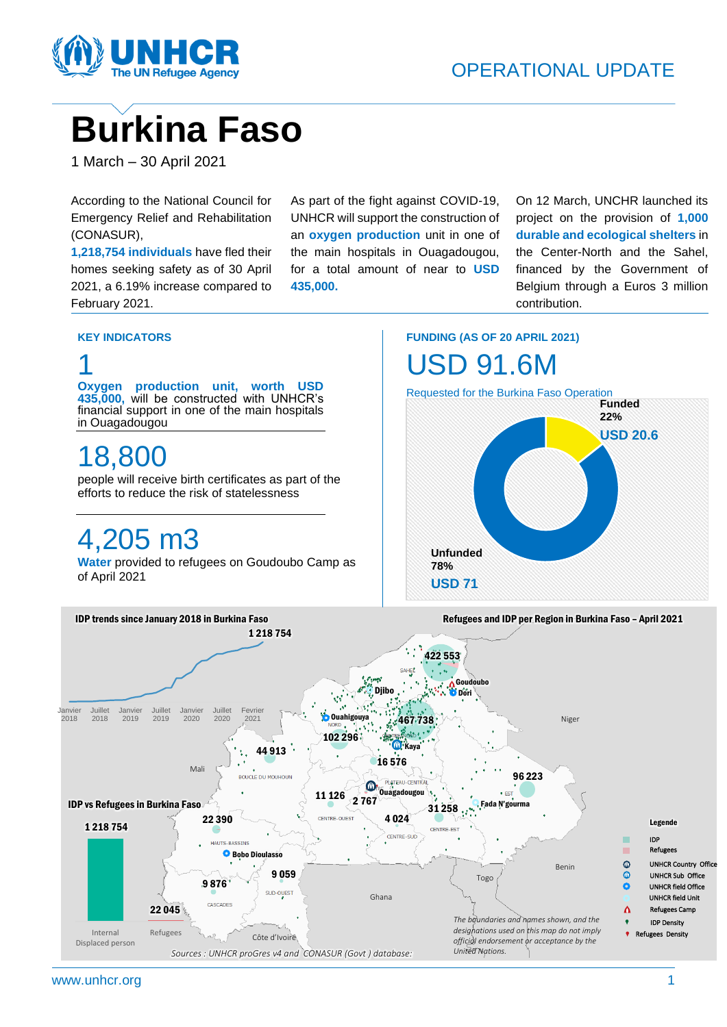

## **Burkina Faso**

1 March – 30 April 2021

According to the National Council for Emergency Relief and Rehabilitation (CONASUR),

**1,218,754 individuals** have fled their homes seeking safety as of 30 April 2021, a 6.19% increase compared to February 2021.

As part of the fight against COVID-19, UNHCR will support the construction of an **oxygen production** unit in one of the main hospitals in Ouagadougou, for a total amount of near to **USD 435,000.**

On 12 March, UNCHR launched its project on the provision of **1,000 durable and ecological shelters** in the Center-North and the Sahel, financed by the Government of Belgium through a Euros 3 million contribution.

### **KEY INDICATORS**

1



**FUNDING (AS OF 20 APRIL 2021)**



www.unhcr.org 1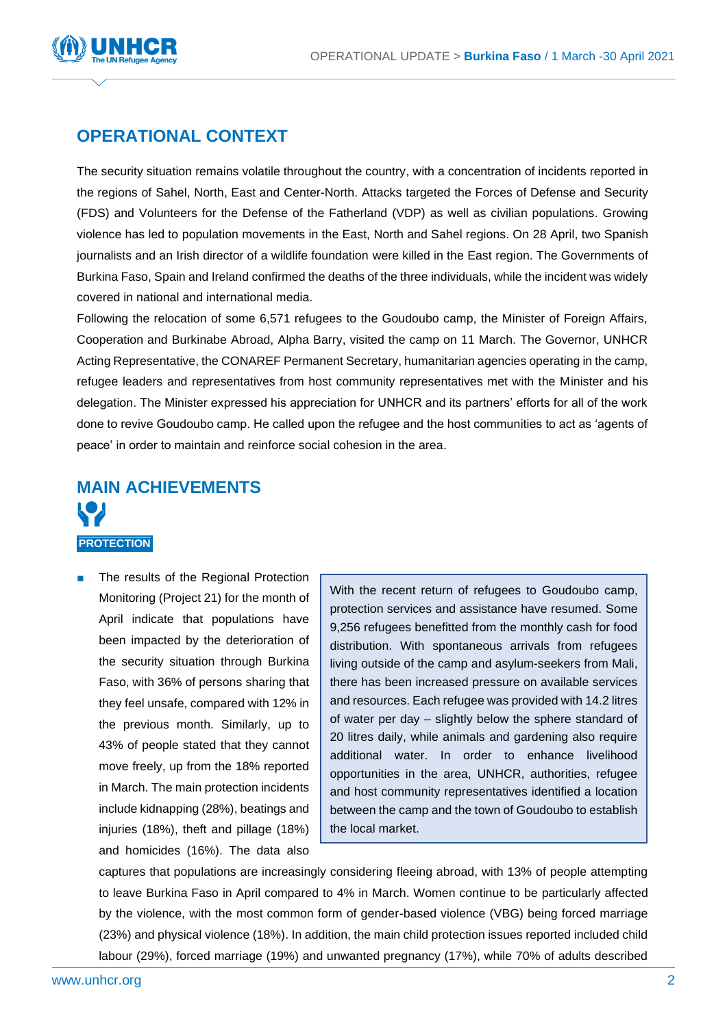

### **OPERATIONAL CONTEXT**

The security situation remains volatile throughout the country, with a concentration of incidents reported in the regions of Sahel, North, East and Center-North. Attacks targeted the Forces of Defense and Security (FDS) and Volunteers for the Defense of the Fatherland (VDP) as well as civilian populations. Growing violence has led to population movements in the East, North and Sahel regions. On 28 April, two Spanish journalists and an Irish director of a wildlife foundation were killed in the East region. The Governments of Burkina Faso, Spain and Ireland confirmed the deaths of the three individuals, while the incident was widely covered in national and international media.

Following the relocation of some 6,571 refugees to the Goudoubo camp, the Minister of Foreign Affairs, Cooperation and Burkinabe Abroad, Alpha Barry, visited the camp on 11 March. The Governor, UNHCR Acting Representative, the CONAREF Permanent Secretary, humanitarian agencies operating in the camp, refugee leaders and representatives from host community representatives met with the Minister and his delegation. The Minister expressed his appreciation for UNHCR and its partners' efforts for all of the work done to revive Goudoubo camp. He called upon the refugee and the host communities to act as 'agents of peace' in order to maintain and reinforce social cohesion in the area.

# **MAIN ACHIEVEMENTS**

### **PROTECTION**

The results of the Regional Protection Monitoring (Project 21) for the month of April indicate that populations have been impacted by the deterioration of the security situation through Burkina Faso, with 36% of persons sharing that they feel unsafe, compared with 12% in the previous month. Similarly, up to 43% of people stated that they cannot move freely, up from the 18% reported in March. The main protection incidents include kidnapping (28%), beatings and injuries (18%), theft and pillage (18%) and homicides (16%). The data also

With the recent return of refugees to Goudoubo camp, protection services and assistance have resumed. Some 9,256 refugees benefitted from the monthly cash for food distribution. With spontaneous arrivals from refugees living outside of the camp and asylum-seekers from Mali, there has been increased pressure on available services and resources. Each refugee was provided with 14.2 litres of water per day – slightly below the sphere standard of 20 litres daily, while animals and gardening also require additional water. In order to enhance livelihood opportunities in the area, UNHCR, authorities, refugee and host community representatives identified a location between the camp and the town of Goudoubo to establish the local market.

captures that populations are increasingly considering fleeing abroad, with 13% of people attempting to leave Burkina Faso in April compared to 4% in March. Women continue to be particularly affected by the violence, with the most common form of gender-based violence (VBG) being forced marriage (23%) and physical violence (18%). In addition, the main child protection issues reported included child labour (29%), forced marriage (19%) and unwanted pregnancy (17%), while 70% of adults described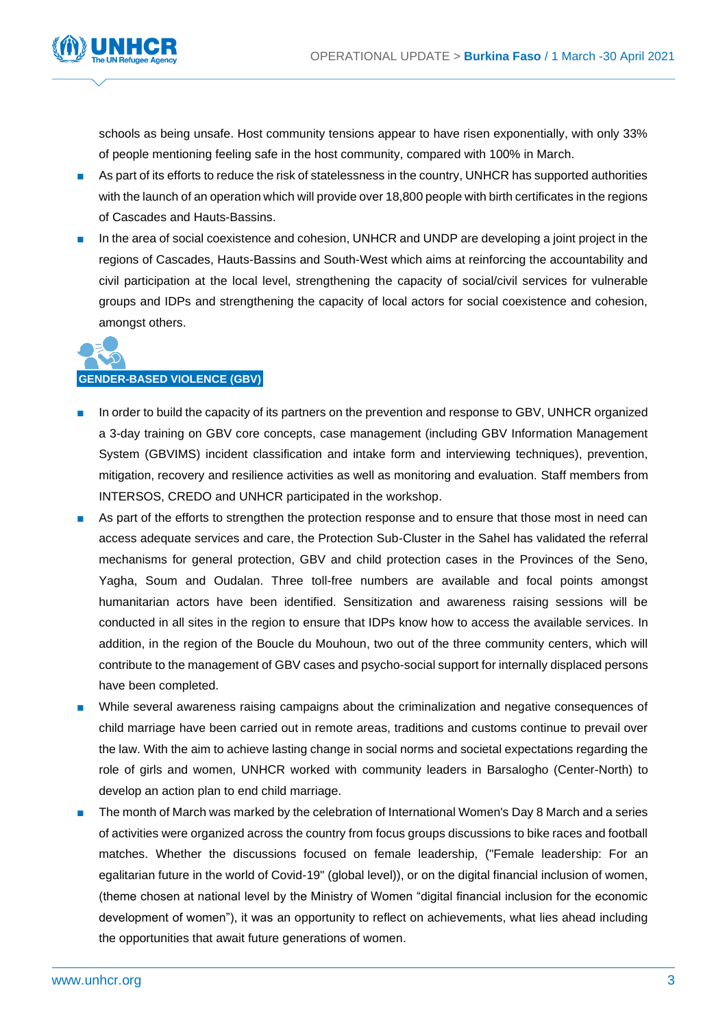

schools as being unsafe. Host community tensions appear to have risen exponentially, with only 33% of people mentioning feeling safe in the host community, compared with 100% in March.

- As part of its efforts to reduce the risk of statelessness in the country, UNHCR has supported authorities with the launch of an operation which will provide over 18,800 people with birth certificates in the regions of Cascades and Hauts-Bassins.
- In the area of social coexistence and cohesion, UNHCR and UNDP are developing a joint project in the regions of Cascades, Hauts-Bassins and South-West which aims at reinforcing the accountability and civil participation at the local level, strengthening the capacity of social/civil services for vulnerable groups and IDPs and strengthening the capacity of local actors for social coexistence and cohesion, amongst others.



- In order to build the capacity of its partners on the prevention and response to GBV, UNHCR organized a 3-day training on GBV core concepts, case management (including GBV Information Management System (GBVIMS) incident classification and intake form and interviewing techniques), prevention, mitigation, recovery and resilience activities as well as monitoring and evaluation. Staff members from INTERSOS, CREDO and UNHCR participated in the workshop.
- As part of the efforts to strengthen the protection response and to ensure that those most in need can access adequate services and care, the Protection Sub-Cluster in the Sahel has validated the referral mechanisms for general protection, GBV and child protection cases in the Provinces of the Seno, Yagha, Soum and Oudalan. Three toll-free numbers are available and focal points amongst humanitarian actors have been identified. Sensitization and awareness raising sessions will be conducted in all sites in the region to ensure that IDPs know how to access the available services. In addition, in the region of the Boucle du Mouhoun, two out of the three community centers, which will contribute to the management of GBV cases and psycho-social support for internally displaced persons have been completed.
- While several awareness raising campaigns about the criminalization and negative consequences of child marriage have been carried out in remote areas, traditions and customs continue to prevail over the law. With the aim to achieve lasting change in social norms and societal expectations regarding the role of girls and women, UNHCR worked with community leaders in Barsalogho (Center-North) to develop an action plan to end child marriage.
- The month of March was marked by the celebration of International Women's Day 8 March and a series of activities were organized across the country from focus groups discussions to bike races and football matches. Whether the discussions focused on female leadership, ("Female leadership: For an egalitarian future in the world of Covid-19" (global level)), or on the digital financial inclusion of women, (theme chosen at national level by the Ministry of Women "digital financial inclusion for the economic development of women"), it was an opportunity to reflect on achievements, what lies ahead including the opportunities that await future generations of women.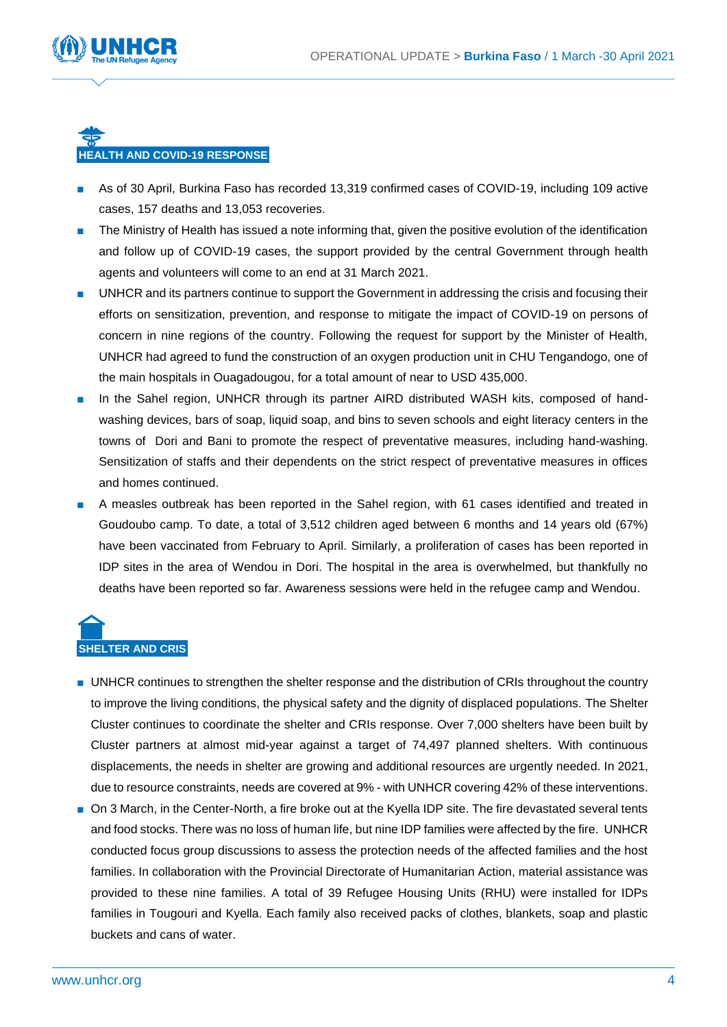

### **HEALTH AND COVID-19 RESPONSE**

- As of 30 April, Burkina Faso has recorded 13,319 confirmed cases of COVID-19, including 109 active cases, 157 deaths and 13,053 recoveries.
- The Ministry of Health has issued a note informing that, given the positive evolution of the identification and follow up of COVID-19 cases, the support provided by the central Government through health agents and volunteers will come to an end at 31 March 2021.
- UNHCR and its partners continue to support the Government in addressing the crisis and focusing their efforts on sensitization, prevention, and response to mitigate the impact of COVID-19 on persons of concern in nine regions of the country. Following the request for support by the Minister of Health, UNHCR had agreed to fund the construction of an oxygen production unit in CHU Tengandogo, one of the main hospitals in Ouagadougou, for a total amount of near to USD 435,000.
- In the Sahel region, UNHCR through its partner AIRD distributed WASH kits, composed of handwashing devices, bars of soap, liquid soap, and bins to seven schools and eight literacy centers in the towns of Dori and Bani to promote the respect of preventative measures, including hand-washing. Sensitization of staffs and their dependents on the strict respect of preventative measures in offices and homes continued.
- A measles outbreak has been reported in the Sahel region, with 61 cases identified and treated in Goudoubo camp. To date, a total of 3,512 children aged between 6 months and 14 years old (67%) have been vaccinated from February to April. Similarly, a proliferation of cases has been reported in IDP sites in the area of Wendou in Dori. The hospital in the area is overwhelmed, but thankfully no deaths have been reported so far. Awareness sessions were held in the refugee camp and Wendou.

## **SHELTER AND CRIS**

- UNHCR continues to strengthen the shelter response and the distribution of CRIs throughout the country to improve the living conditions, the physical safety and the dignity of displaced populations. The Shelter Cluster continues to coordinate the shelter and CRIs response. Over 7,000 shelters have been built by Cluster partners at almost mid-year against a target of 74,497 planned shelters. With continuous displacements, the needs in shelter are growing and additional resources are urgently needed. In 2021, due to resource constraints, needs are covered at 9% - with UNHCR covering 42% of these interventions.
- On 3 March, in the Center-North, a fire broke out at the Kyella IDP site. The fire devastated several tents and food stocks. There was no loss of human life, but nine IDP families were affected by the fire. UNHCR conducted focus group discussions to assess the protection needs of the affected families and the host families. In collaboration with the Provincial Directorate of Humanitarian Action, material assistance was provided to these nine families. A total of 39 Refugee Housing Units (RHU) were installed for IDPs families in Tougouri and Kyella. Each family also received packs of clothes, blankets, soap and plastic buckets and cans of water.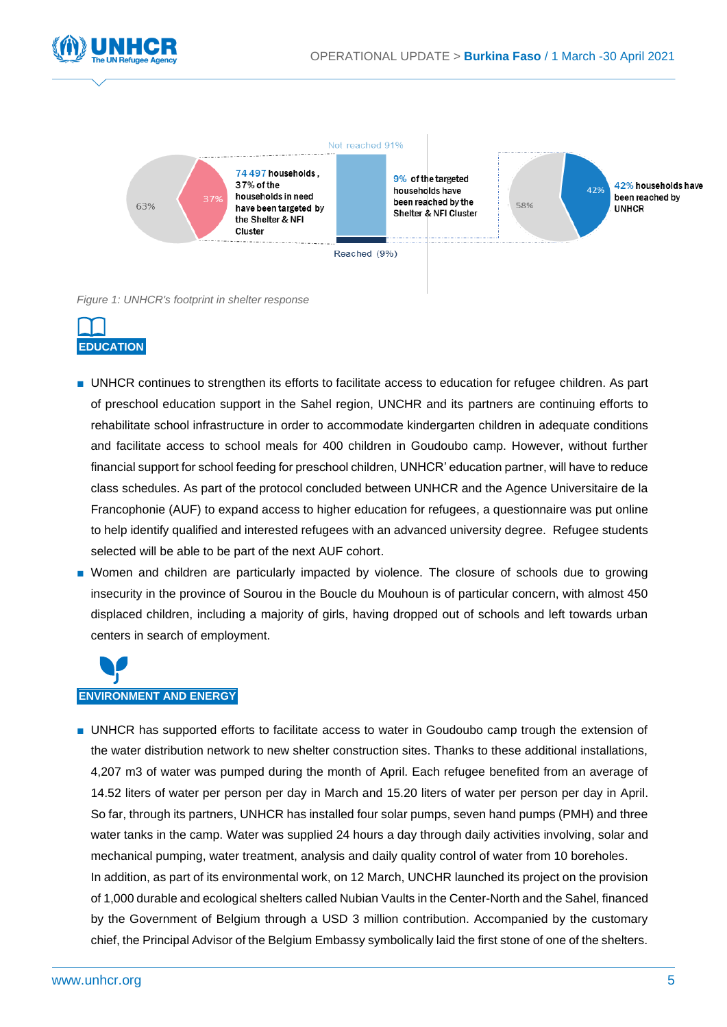



*Figure 1: UNHCR's footprint in shelter response*



- UNHCR continues to strengthen its efforts to facilitate access to education for refugee children. As part of preschool education support in the Sahel region, UNCHR and its partners are continuing efforts to rehabilitate school infrastructure in order to accommodate kindergarten children in adequate conditions and facilitate access to school meals for 400 children in Goudoubo camp. However, without further financial support for school feeding for preschool children, UNHCR' education partner, will have to reduce class schedules. As part of the protocol concluded between UNHCR and the Agence Universitaire de la Francophonie (AUF) to expand access to higher education for refugees, a questionnaire was put online to help identify qualified and interested refugees with an advanced university degree. Refugee students selected will be able to be part of the next AUF cohort.
- Women and children are particularly impacted by violence. The closure of schools due to growing insecurity in the province of Sourou in the Boucle du Mouhoun is of particular concern, with almost 450 displaced children, including a majority of girls, having dropped out of schools and left towards urban centers in search of employment.



■ UNHCR has supported efforts to facilitate access to water in Goudoubo camp trough the extension of the water distribution network to new shelter construction sites. Thanks to these additional installations, 4,207 m3 of water was pumped during the month of April. Each refugee benefited from an average of 14.52 liters of water per person per day in March and 15.20 liters of water per person per day in April. So far, through its partners, UNHCR has installed four solar pumps, seven hand pumps (PMH) and three water tanks in the camp. Water was supplied 24 hours a day through daily activities involving, solar and mechanical pumping, water treatment, analysis and daily quality control of water from 10 boreholes. In addition, as part of its environmental work, on 12 March, UNCHR launched its project on the provision of 1,000 durable and ecological shelters called Nubian Vaults in the Center-North and the Sahel, financed by the Government of Belgium through a USD 3 million contribution. Accompanied by the customary chief, the Principal Advisor of the Belgium Embassy symbolically laid the first stone of one of the shelters.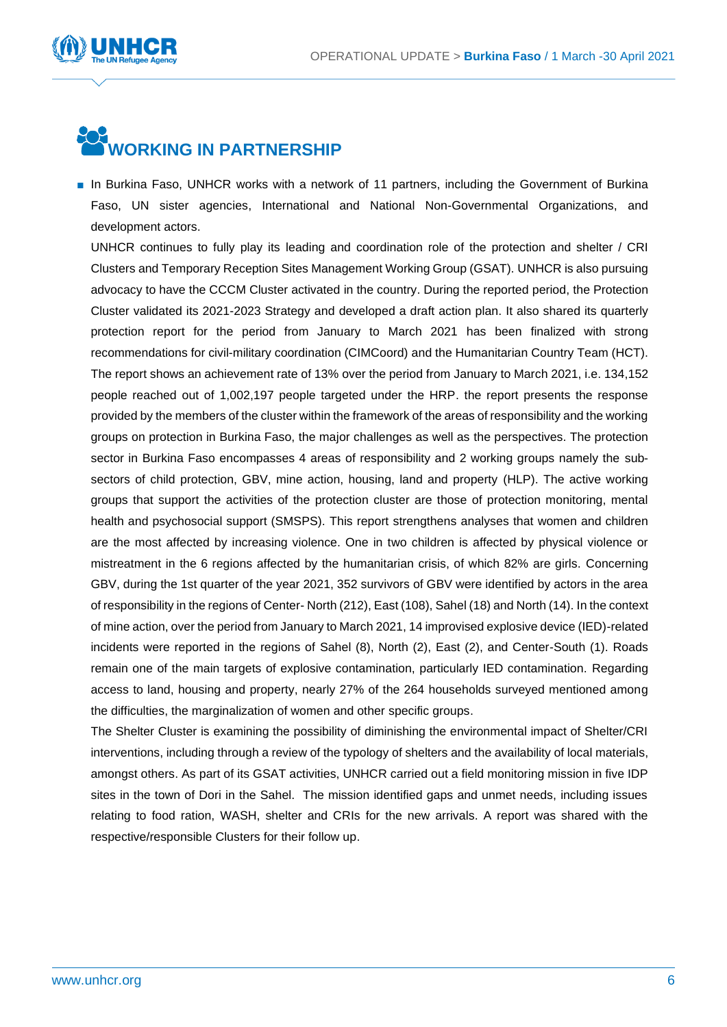

## **WORKING IN PARTNERSHIP**

■ In Burkina Faso, UNHCR works with a network of 11 partners, including the Government of Burkina Faso, UN sister agencies, International and National Non-Governmental Organizations, and development actors.

UNHCR continues to fully play its leading and coordination role of the protection and shelter / CRI Clusters and Temporary Reception Sites Management Working Group (GSAT). UNHCR is also pursuing advocacy to have the CCCM Cluster activated in the country. During the reported period, the Protection Cluster validated its 2021-2023 Strategy and developed a draft action plan. It also shared its quarterly protection report for the period from January to March 2021 has been finalized with strong recommendations for civil-military coordination (CIMCoord) and the Humanitarian Country Team (HCT). The report shows an achievement rate of 13% over the period from January to March 2021, i.e. 134,152 people reached out of 1,002,197 people targeted under the HRP. the report presents the response provided by the members of the cluster within the framework of the areas of responsibility and the working groups on protection in Burkina Faso, the major challenges as well as the perspectives. The protection sector in Burkina Faso encompasses 4 areas of responsibility and 2 working groups namely the subsectors of child protection, GBV, mine action, housing, land and property (HLP). The active working groups that support the activities of the protection cluster are those of protection monitoring, mental health and psychosocial support (SMSPS). This report strengthens analyses that women and children are the most affected by increasing violence. One in two children is affected by physical violence or mistreatment in the 6 regions affected by the humanitarian crisis, of which 82% are girls. Concerning GBV, during the 1st quarter of the year 2021, 352 survivors of GBV were identified by actors in the area of responsibility in the regions of Center- North (212), East (108), Sahel (18) and North (14). In the context of mine action, over the period from January to March 2021, 14 improvised explosive device (IED)-related incidents were reported in the regions of Sahel (8), North (2), East (2), and Center-South (1). Roads remain one of the main targets of explosive contamination, particularly IED contamination. Regarding access to land, housing and property, nearly 27% of the 264 households surveyed mentioned among the difficulties, the marginalization of women and other specific groups.

The Shelter Cluster is examining the possibility of diminishing the environmental impact of Shelter/CRI interventions, including through a review of the typology of shelters and the availability of local materials, amongst others. As part of its GSAT activities, UNHCR carried out a field monitoring mission in five IDP sites in the town of Dori in the Sahel. The mission identified gaps and unmet needs, including issues relating to food ration, WASH, shelter and CRIs for the new arrivals. A report was shared with the respective/responsible Clusters for their follow up.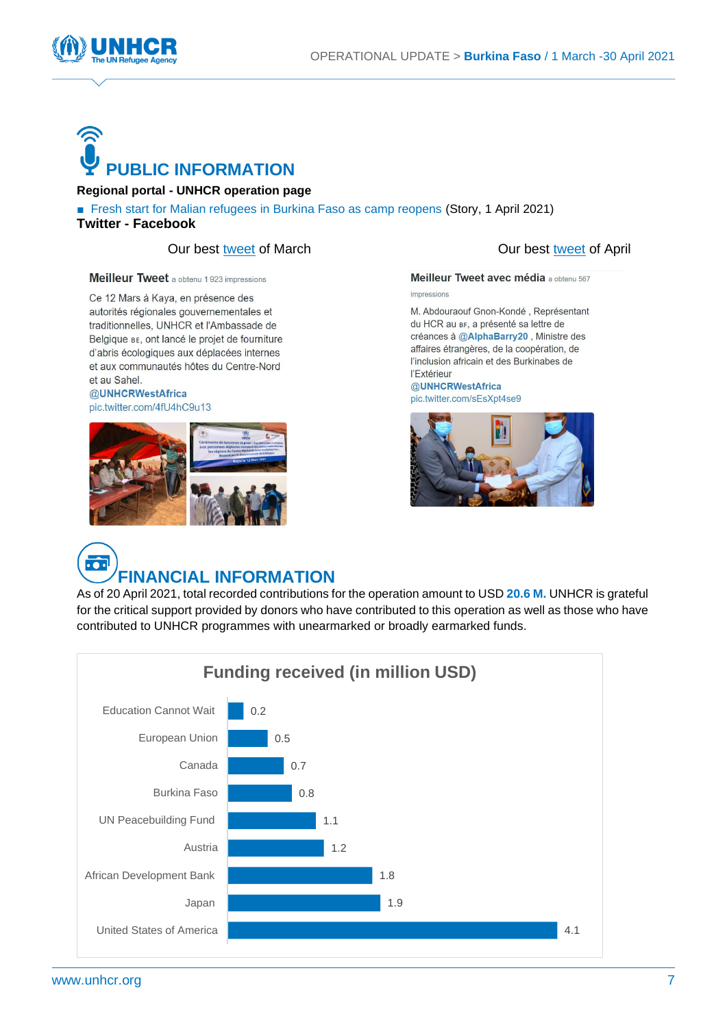

# **PUBLIC INFORMATION**

### **[Regional portal](https://data2.unhcr.org/en/situations/sahelcrisis/location/8650) - [UNHCR operation page](https://www.unhcr.org/fr/burkina-faso.html)**

■ [Fresh start for Malian refugees in Burkina Faso as camp reopens](https://www.unhcr.org/afr/news/stories/2021/4/605b65304/fresh-start-malian-refugees-burkina-faso-camp-reopens.html) (Story, 1 April 2021) **[Twitter](https://twitter.com/UNHCR_BF?ref_src=twsrc%5Egoogle%7Ctwcamp%5Eserp%7Ctwgr%5Eauthor) - [Facebook](https://www.facebook.com/UNHCRBurkinaFaso/)**

### Our best [tweet](https://twitter.com/UNHCR_BF/status/1356917196245635074?s=20) of March Our best [tweet](https://twitter.com/UNHCR_BF/status/1346035103655473153?s=20) of April

Meilleur Tweet a obtenu 1923 impressions

Ce 12 Mars à Kaya, en présence des autorités régionales gouvernementales et traditionnelles, UNHCR et l'Ambassade de Belgique BE, ont lancé le projet de fourniture d'abris écologiques aux déplacées internes et aux communautés hôtes du Centre-Nord et au Sahel.

### @UNHCRWestAfrica





Meilleur Tweet avec média a obtenu 567 impressions

M. Abdouraouf Gnon-Kondé, Représentant du HCR au BF, a présenté sa lettre de créances à @AlphaBarry20, Ministre des affaires étrangères, de la coopération, de l'inclusion africain et des Burkinabes de l'Extérieur @UNHCRWestAfrica pic.twitter.com/sEsXpt4se9



## **FINANCIAL INFORMATION**

As of 20 April 2021, total recorded contributions for the operation amount to USD **20.6 M.** UNHCR is grateful for the critical support provided by donors who have contributed to this operation as well as those who have contributed to UNHCR programmes with unearmarked or broadly earmarked funds.